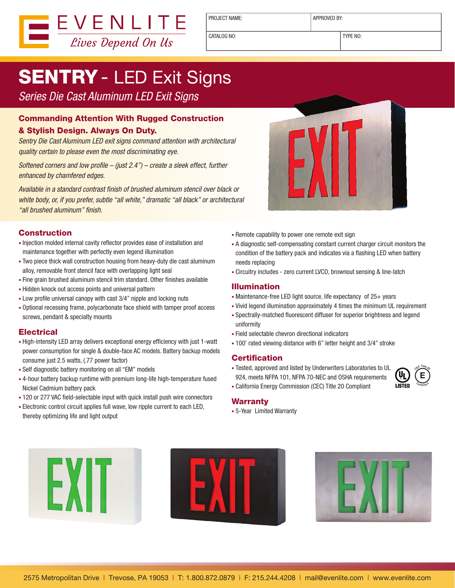

PROJECT NAME: <br> APPROVED BY:

CATALOG NO: TYPE NO:

# **SENTRY** - LED Exit Signs

*Series Die Cast Aluminum LED Exit Signs*

### Commanding Attention With Rugged Construction

#### & Stylish Design. Always On Duty.

*Sentry Die Cast Aluminum LED exit signs command attention with architectural quality certain to please even the most discriminating eye.*

*Softened corners and low profile – (just 2.4") – create a sleek effect, further enhanced by chamfered edges.* 

*Available in a standard contrast finish of brushed aluminum stencil over black or white body, or, if you prefer, subtle "all white," dramatic "all black" or architectural "all brushed aluminum" finish.*

#### **Construction**

- Injection molded internal cavity reflector provides ease of installation and maintenance together with perfectly even legend illumination
- Two piece thick wall construction housing from heavy-duty die cast aluminum alloy, removable front stencil face with overlapping light seal
- Fine grain brushed aluminum stencil trim standard. Other finishes available
- Hidden knock out access points and universal pattern
- Low profile universal canopy with cast 3/4" nipple and locking nuts
- Optional recessing frame, polycarbonate face shield with tamper proof access screws, pendant & specialty mounts

#### **Electrical**

- High-intensity LED array delivers exceptional energy efficiency with just 1-watt power consumption for single & double-face AC models. Battery backup models consume just 2.5 watts, (.77 power factor)
- Self diagnostic battery monitoring on all "EM" models
- 4-hour battery backup runtime with premium long-life high-temperature fused Nickel Cadmium battery pack
- 120 or 277 VAC field-selectable input with quick install push wire connectors
- Electronic control circuit applies full wave, low ripple current to each LED, thereby optimizing life and light output



- Remote capability to power one remote exit sign
- A diagnostic self-compensating constant current charger circuit monitors the condition of the battery pack and indicates via a flashing LED when battery needs replacing
- Circuitry includes zero current LVCO, brownout sensing & line-latch

#### Illumination

- Maintenance-free LED light source, life expectancy of 25+ years
- Vivid legend illumination approximately 4 times the minimum UL requirement
- Spectrally-matched fluorescent diffuser for superior brightness and legend uniformity
- Field selectable chevron directional indicators
- 100' rated viewing distance with 6" letter height and 3/4" stroke

#### **Certification**

• Tested, approved and listed by Underwriters Laboratories to UL 924, meets NFPA 101, NFPA 70-NEC and OSHA requirements • California Energy Commission (CEC) Title 20 Compliant



#### Warranty

• 5-Year Limited Warranty